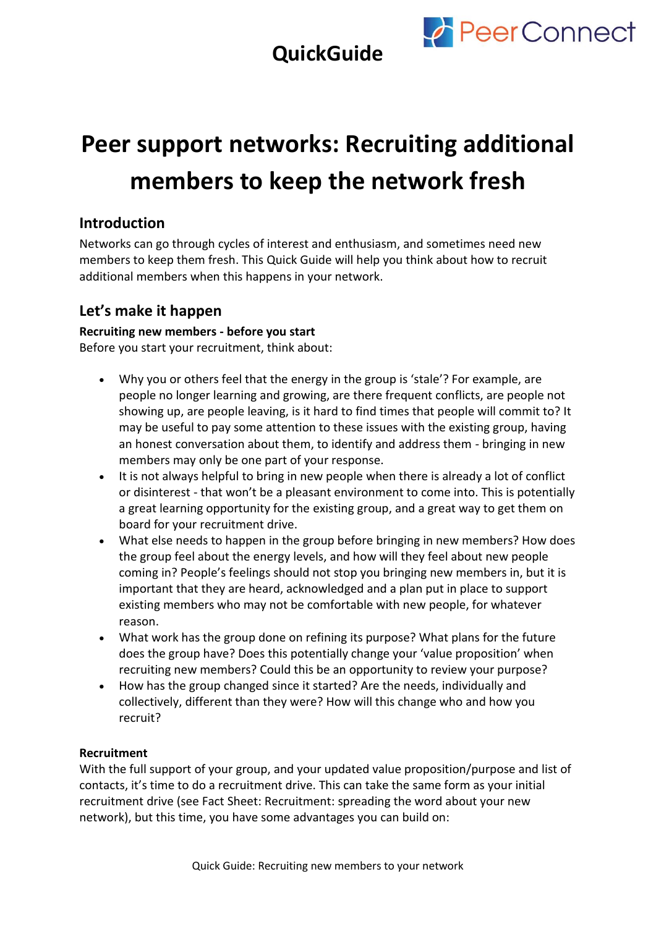



# **Peer support networks: Recruiting additional members to keep the network fresh**

## **Introduction**

Networks can go through cycles of interest and enthusiasm, and sometimes need new members to keep them fresh. This Quick Guide will help you think about how to recruit additional members when this happens in your network.

### **Let's make it happen**

#### **Recruiting new members - before you start**

Before you start your recruitment, think about:

- Why you or others feel that the energy in the group is 'stale'? For example, are people no longer learning and growing, are there frequent conflicts, are people not showing up, are people leaving, is it hard to find times that people will commit to? It may be useful to pay some attention to these issues with the existing group, having an honest conversation about them, to identify and address them - bringing in new members may only be one part of your response.
- It is not always helpful to bring in new people when there is already a lot of conflict or disinterest - that won't be a pleasant environment to come into. This is potentially a great learning opportunity for the existing group, and a great way to get them on board for your recruitment drive.
- What else needs to happen in the group before bringing in new members? How does the group feel about the energy levels, and how will they feel about new people coming in? People's feelings should not stop you bringing new members in, but it is important that they are heard, acknowledged and a plan put in place to support existing members who may not be comfortable with new people, for whatever reason.
- What work has the group done on refining its purpose? What plans for the future does the group have? Does this potentially change your 'value proposition' when recruiting new members? Could this be an opportunity to review your purpose?
- How has the group changed since it started? Are the needs, individually and collectively, different than they were? How will this change who and how you recruit?

#### **Recruitment**

With the full support of your group, and your updated value proposition/purpose and list of contacts, it's time to do a recruitment drive. This can take the same form as your initial recruitment drive (see Fact Sheet: Recruitment: spreading the word about your new network), but this time, you have some advantages you can build on: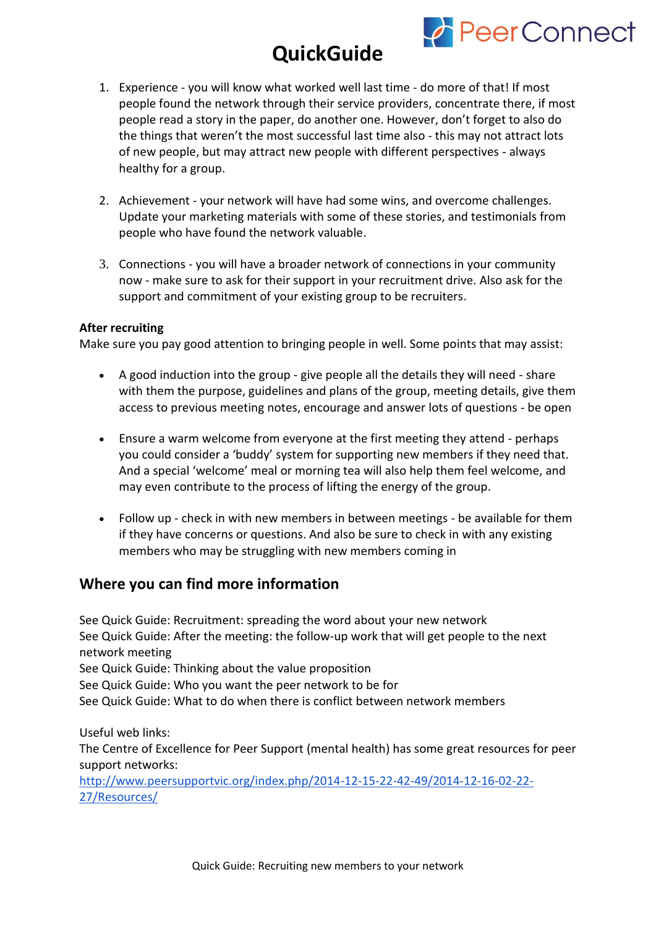# **QuickGuide**



- 1. Experience you will know what worked well last time do more of that! If most people found the network through their service providers, concentrate there, if most people read a story in the paper, do another one. However, don't forget to also do the things that weren't the most successful last time also - this may not attract lots of new people, but may attract new people with different perspectives - always healthy for a group.
- 2. Achievement your network will have had some wins, and overcome challenges. Update your marketing materials with some of these stories, and testimonials from people who have found the network valuable.
- 3. Connections you will have a broader network of connections in your community now - make sure to ask for their support in your recruitment drive. Also ask for the support and commitment of your existing group to be recruiters.

#### **After recruiting**

Make sure you pay good attention to bringing people in well. Some points that may assist:

- A good induction into the group give people all the details they will need share with them the purpose, guidelines and plans of the group, meeting details, give them access to previous meeting notes, encourage and answer lots of questions - be open
- Ensure a warm welcome from everyone at the first meeting they attend perhaps you could consider a 'buddy' system for supporting new members if they need that. And a special 'welcome' meal or morning tea will also help them feel welcome, and may even contribute to the process of lifting the energy of the group.
- Follow up check in with new members in between meetings be available for them if they have concerns or questions. And also be sure to check in with any existing members who may be struggling with new members coming in

### **Where you can find more information**

See Quick Guide: Recruitment: spreading the word about your new network See Quick Guide: After the meeting: the follow-up work that will get people to the next network meeting See Quick Guide: Thinking about the value proposition See Quick Guide: Who you want the peer network to be for See Quick Guide: What to do when there is conflict between network members

Useful web links: The Centre of Excellence for Peer Support (mental health) has some great resources for peer support networks:

[http://www.peersupportvic.org/index.php/2014-12-15-22-42-49/2014-12-16-02-22-](http://www.peersupportvic.org/index.php/2014-12-15-22-42-49/2014-12-16-02-22-27/Resources/) [27/Resources/](http://www.peersupportvic.org/index.php/2014-12-15-22-42-49/2014-12-16-02-22-27/Resources/)